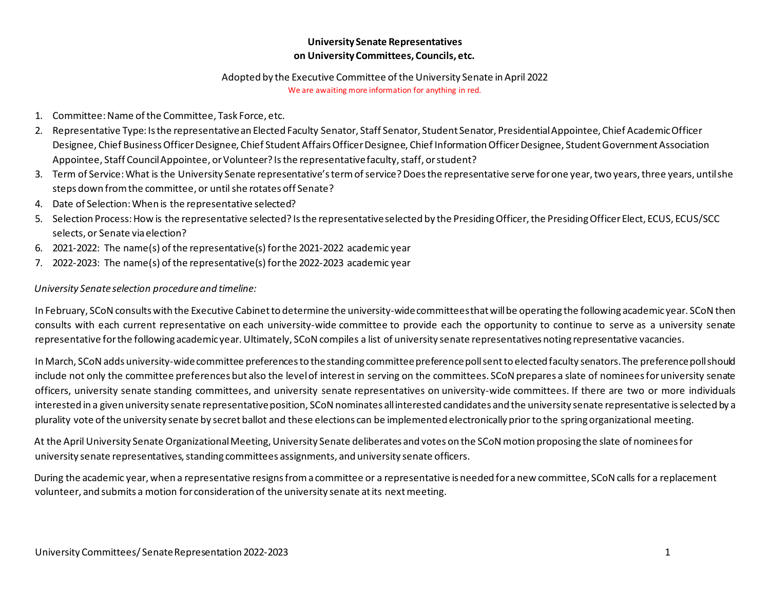### **University Senate Representatives on University Committees, Councils, etc.**

#### Adopted by the Executive Committee of the University Senate in April 2022

We are awaiting more information for anything in red.

- 1. Committee: Name of the Committee, Task Force, etc.
- 2. Representative Type: Is the representative an Elected Faculty Senator, Staff Senator, Student Senator, Presidential Appointee, Chief Academic Officer Designee, Chief Business Officer Designee, Chief Student Affairs Officer Designee, Chief Information Officer Designee, Student Government Association Appointee, Staff Council Appointee, or Volunteer? Is the representative faculty, staff, or student?
- 3. Term of Service: What is the University Senate representative's term of service? Does the representative serve for one year, two years, three years, until she steps down from the committee, or until she rotates off Senate?
- 4. Date of Selection: When is the representative selected?
- 5. Selection Process: How is the representative selected? Is the representative selected by the Presiding Officer, the PresidingOfficer Elect, ECUS, ECUS/SCC selects, or Senate via election?
- 6. 2021-2022: The name(s) of the representative(s) for the 2021-2022 academic year
- 7. 2022-2023: The name(s) of the representative(s) for the 2022-2023 academic year

### *University Senate selection procedure and timeline:*

In February, SCoN consults with the Executive Cabinet to determine the university-wide committees that will be operating the following academic year. SCoN then consults with each current representative on each university-wide committee to provide each the opportunity to continue to serve as a university senate representative for the following academic year. Ultimately, SCoN compiles a list of university senate representatives noting representative vacancies.

In March, SCoN adds university-wide committee preferences to the standing committee preference poll sent to elected faculty senators. The preference poll should include not only the committee preferences but also the level of interest in serving on the committees. SCoN prepares a slate of nominees for university senate officers, university senate standing committees, and university senate representatives on university-wide committees. If there are two or more individuals interested in a given university senate representative position, SCoN nominates all interested candidates and the university senate representative is selected by a plurality vote of the university senate by secret ballot and these elections can be implemented electronically prior to the spring organizational meeting.

At the April University Senate Organizational Meeting, University Senate deliberates and votes on the SCoN motion proposing the slate of nominees for university senate representatives, standing committees assignments, and university senate officers.

During the academic year, when a representative resigns from a committee or a representative is needed for a new committee, SCoN calls for a replacement volunteer, and submits a motion for consideration of the university senate at its next meeting.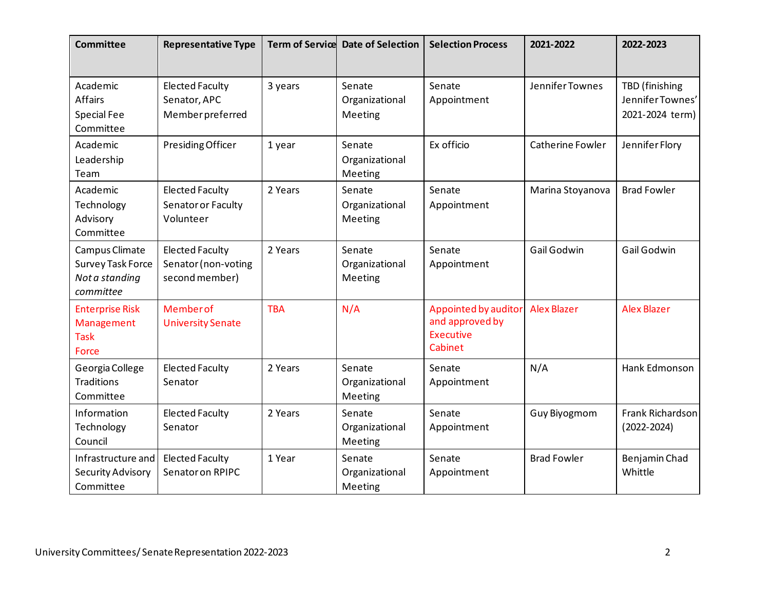| <b>Committee</b>                                                          | <b>Representative Type</b>                                      |            | Term of Service Date of Selection   | <b>Selection Process</b>                                               | 2021-2022          | 2022-2023                                             |
|---------------------------------------------------------------------------|-----------------------------------------------------------------|------------|-------------------------------------|------------------------------------------------------------------------|--------------------|-------------------------------------------------------|
| Academic<br><b>Affairs</b><br><b>Special Fee</b><br>Committee             | <b>Elected Faculty</b><br>Senator, APC<br>Member preferred      | 3 years    | Senate<br>Organizational<br>Meeting | Senate<br>Appointment                                                  | Jennifer Townes    | TBD (finishing<br>Jennifer Townes'<br>2021-2024 term) |
| Academic<br>Leadership<br>Team                                            | Presiding Officer                                               | 1 year     | Senate<br>Organizational<br>Meeting | Ex officio                                                             | Catherine Fowler   | Jennifer Flory                                        |
| Academic<br>Technology<br>Advisory<br>Committee                           | <b>Elected Faculty</b><br>Senator or Faculty<br>Volunteer       | 2 Years    | Senate<br>Organizational<br>Meeting | Senate<br>Appointment                                                  | Marina Stoyanova   | <b>Brad Fowler</b>                                    |
| Campus Climate<br><b>Survey Task Force</b><br>Not a standing<br>committee | <b>Elected Faculty</b><br>Senator (non-voting<br>second member) | 2 Years    | Senate<br>Organizational<br>Meeting | Senate<br>Appointment                                                  | Gail Godwin        | Gail Godwin                                           |
| <b>Enterprise Risk</b><br>Management<br><b>Task</b><br>Force              | Member of<br><b>University Senate</b>                           | <b>TBA</b> | N/A                                 | Appointed by auditor<br>and approved by<br><b>Executive</b><br>Cabinet | <b>Alex Blazer</b> | <b>Alex Blazer</b>                                    |
| Georgia College<br><b>Traditions</b><br>Committee                         | <b>Elected Faculty</b><br>Senator                               | 2 Years    | Senate<br>Organizational<br>Meeting | Senate<br>Appointment                                                  | N/A                | Hank Edmonson                                         |
| Information<br>Technology<br>Council                                      | <b>Elected Faculty</b><br>Senator                               | 2 Years    | Senate<br>Organizational<br>Meeting | Senate<br>Appointment                                                  | Guy Biyogmom       | Frank Richardson<br>$(2022 - 2024)$                   |
| Infrastructure and<br>Security Advisory<br>Committee                      | <b>Elected Faculty</b><br>Senator on RPIPC                      | 1 Year     | Senate<br>Organizational<br>Meeting | Senate<br>Appointment                                                  | <b>Brad Fowler</b> | Benjamin Chad<br>Whittle                              |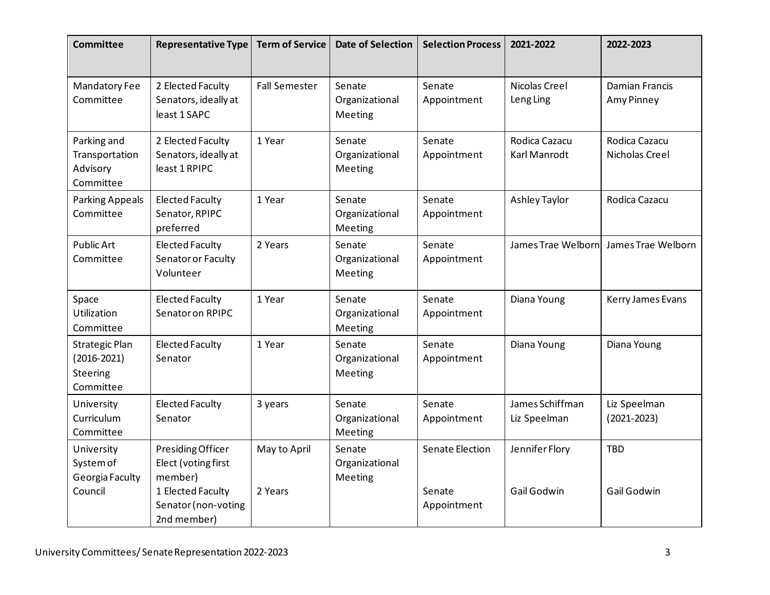| <b>Committee</b>                                                  | <b>Representative Type</b>                                                                                     | <b>Term of Service</b>  | <b>Date of Selection</b>            | <b>Selection Process</b>                 | 2021-2022                       | 2022-2023                           |
|-------------------------------------------------------------------|----------------------------------------------------------------------------------------------------------------|-------------------------|-------------------------------------|------------------------------------------|---------------------------------|-------------------------------------|
| <b>Mandatory Fee</b><br>Committee                                 | 2 Elected Faculty<br>Senators, ideally at<br>least 1 SAPC                                                      | <b>Fall Semester</b>    | Senate<br>Organizational<br>Meeting | Senate<br>Appointment                    | Nicolas Creel<br>Leng Ling      | <b>Damian Francis</b><br>Amy Pinney |
| Parking and<br>Transportation<br>Advisory<br>Committee            | 2 Elected Faculty<br>Senators, ideally at<br>least 1 RPIPC                                                     | 1 Year                  | Senate<br>Organizational<br>Meeting | Senate<br>Appointment                    | Rodica Cazacu<br>Karl Manrodt   | Rodica Cazacu<br>Nicholas Creel     |
| <b>Parking Appeals</b><br>Committee                               | <b>Elected Faculty</b><br>Senator, RPIPC<br>preferred                                                          | 1 Year                  | Senate<br>Organizational<br>Meeting | Senate<br>Appointment                    | <b>Ashley Taylor</b>            | Rodica Cazacu                       |
| <b>Public Art</b><br>Committee                                    | <b>Elected Faculty</b><br>Senator or Faculty<br>Volunteer                                                      | 2 Years                 | Senate<br>Organizational<br>Meeting | Senate<br>Appointment                    | James Trae Welborn              | James Trae Welborn                  |
| Space<br>Utilization<br>Committee                                 | <b>Elected Faculty</b><br>Senator on RPIPC                                                                     | 1 Year                  | Senate<br>Organizational<br>Meeting | Senate<br>Appointment                    | Diana Young                     | Kerry James Evans                   |
| <b>Strategic Plan</b><br>$(2016 - 2021)$<br>Steering<br>Committee | <b>Elected Faculty</b><br>Senator                                                                              | 1 Year                  | Senate<br>Organizational<br>Meeting | Senate<br>Appointment                    | Diana Young                     | Diana Young                         |
| University<br>Curriculum<br>Committee                             | <b>Elected Faculty</b><br>Senator                                                                              | 3 years                 | Senate<br>Organizational<br>Meeting | Senate<br>Appointment                    | James Schiffman<br>Liz Speelman | Liz Speelman<br>$(2021 - 2023)$     |
| University<br>System of<br>Georgia Faculty<br>Council             | Presiding Officer<br>Elect (voting first<br>member)<br>1 Elected Faculty<br>Senator (non-voting<br>2nd member) | May to April<br>2 Years | Senate<br>Organizational<br>Meeting | Senate Election<br>Senate<br>Appointment | Jennifer Flory<br>Gail Godwin   | <b>TBD</b><br>Gail Godwin           |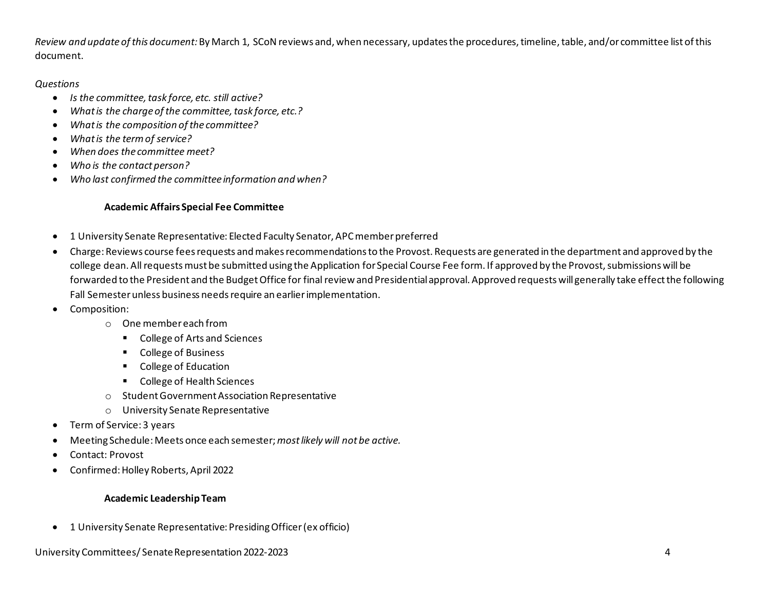*Review and update of this document:* By March 1, SCoNreviews and, when necessary, updates the procedures, timeline, table, and/or committee list of this document.

#### *Questions*

- *Is the committee, task force, etc. still active?*
- *What is the charge of the committee, task force, etc.?*
- *What is the composition of the committee?*
- *What is the term of service?*
- *When does the committee meet?*
- *Who is the contact person?*
- *Who last confirmed the committee information and when?*

### **Academic Affairs Special Fee Committee**

- 1 University Senate Representative: Elected Faculty Senator, APC member preferred
- Charge: Reviews course fees requests and makes recommendations to the Provost. Requests are generated in the department and approved by the college dean. All requests must be submitted using the Application for Special Course Fee form. If approved by the Provost, submissions will be forwarded to the President and the Budget Office for final review and Presidential approval. Approved requests will generally take effect the following Fall Semester unless business needs require an earlier implementation.
- Composition:
	- o One member each from
		- College of Arts and Sciences
		- **College of Business**
		- **College of Education**
		- College of Health Sciences
	- o Student Government Association Representative
	- o University Senate Representative
- Term of Service: 3 years
- Meeting Schedule: Meets once each semester;*most likely will not be active.*
- Contact: Provost
- Confirmed: Holley Roberts, April 2022

### **Academic Leadership Team**

• 1 University Senate Representative: Presiding Officer (ex officio)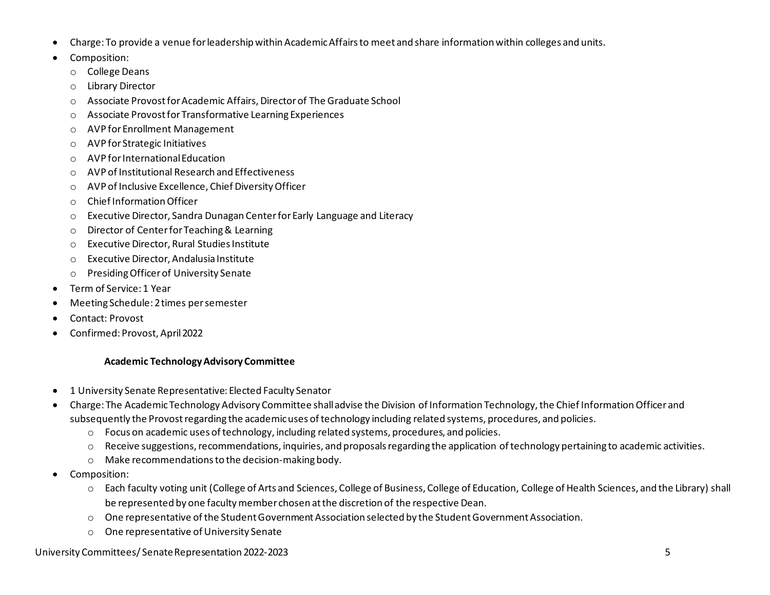- Charge: To provide a venue for leadership within Academic Affairs to meet and share information within colleges and units.
- Composition:
	- o College Deans
	- o Library Director
	- o Associate Provostfor Academic Affairs, Director of The Graduate School
	- o Associate Provost for Transformative Learning Experiences
	- o AVP for Enrollment Management
	- o AVP for Strategic Initiatives
	- o AVP for International Education
	- o AVP of Institutional Research and Effectiveness
	- o AVP of Inclusive Excellence, Chief Diversity Officer
	- o Chief Information Officer
	- o Executive Director, Sandra Dunagan Center for Early Language and Literacy
	- o Director of Center for Teaching & Learning
	- o Executive Director, Rural Studies Institute
	- o Executive Director, Andalusia Institute
	- o Presiding Officer of University Senate
- Term of Service: 1 Year
- Meeting Schedule: 2 times per semester
- Contact: Provost
- Confirmed: Provost, April 2022

# **Academic Technology Advisory Committee**

- 1 University Senate Representative: Elected Faculty Senator
- Charge: The Academic Technology Advisory Committee shall advise the Division of Information Technology, the Chief InformationOfficer and subsequently the Provost regarding the academic uses of technology including related systems, procedures, and policies.
	- $\circ$  Focus on academic uses of technology, including related systems, procedures, and policies.
	- $\circ$  Receive suggestions, recommendations, inquiries, and proposals regarding the application of technology pertaining to academic activities.
	- o Make recommendations to the decision-making body.
- Composition:
	- o Each faculty voting unit (College of Arts and Sciences, College of Business, College of Education, College of Health Sciences, and the Library) shall be represented by one faculty member chosen at the discretion of the respective Dean.
	- o One representative of the Student Government Association selected by the Student Government Association.
	- o One representative of University Senate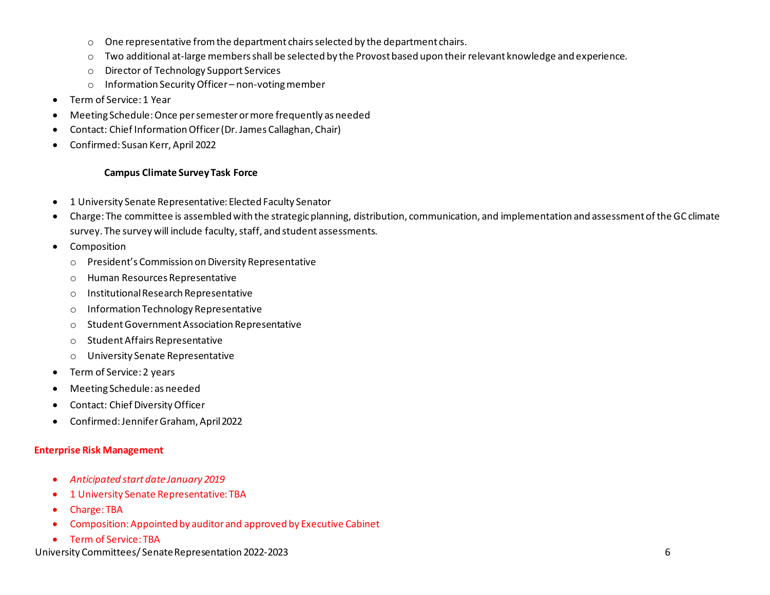- $\circ$  One representative from the department chairs selected by the department chairs.
- $\circ$  Two additional at-large members shall be selected by the Provost based upon their relevant knowledge and experience.
- o Director of Technology Support Services
- o Information Security Officer non-voting member
- Term of Service: 1 Year
- Meeting Schedule: Once per semester or more frequently as needed
- Contact: Chief Information Officer (Dr. James Callaghan, Chair)
- Confirmed: Susan Kerr, April 2022

### **Campus Climate Survey Task Force**

- 1 University Senate Representative: Elected Faculty Senator
- Charge: The committee is assembled with the strategic planning, distribution, communication, and implementation and assessment of the GC climate survey. The survey will include faculty, staff, and student assessments.
- Composition
	- o President's Commission on Diversity Representative
	- o Human Resources Representative
	- o Institutional Research Representative
	- o Information Technology Representative
	- o Student Government Association Representative
	- o Student Affairs Representative
	- o University Senate Representative
- Term of Service: 2 years
- Meeting Schedule: as needed
- Contact: Chief Diversity Officer
- Confirmed: Jennifer Graham, April 2022

### **Enterprise Risk Management**

- *Anticipated start date January 2019*
- 1 University Senate Representative: TBA
- Charge: TBA
- Composition: Appointed by auditor and approved by Executive Cabinet
- Term of Service: TBA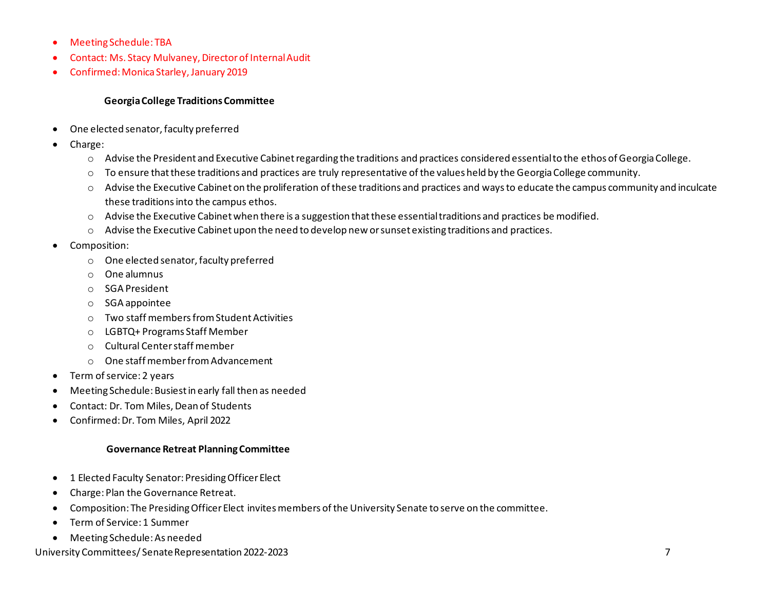- Meeting Schedule: TBA
- Contact: Ms. Stacy Mulvaney, Director of Internal Audit
- Confirmed: Monica Starley, January 2019

#### **Georgia College Traditions Committee**

- One elected senator, faculty preferred
- Charge:
	- o Advise the President and Executive Cabinet regarding the traditions and practices considered essential to the ethos of Georgia College.
	- o To ensure that these traditions and practices are truly representative of the values held by the Georgia College community.
	- o Advise the Executive Cabinet on the proliferation of these traditions and practices and ways to educate the campus community and inculcate these traditions into the campus ethos.
	- o Advise the Executive Cabinet when there is a suggestion that these essential traditions and practices be modified.
	- o Advise the Executive Cabinet upon the need to develop new or sunset existing traditions and practices.
- Composition:
	- o One elected senator, faculty preferred
	- o One alumnus
	- o SGA President
	- o SGA appointee
	- o Two staff members from Student Activities
	- o LGBTQ+ Programs Staff Member
	- o Cultural Center staff member
	- o One staff member from Advancement
- Term of service: 2 years
- Meeting Schedule: Busiest in early fall then as needed
- Contact: Dr. Tom Miles, Dean of Students
- Confirmed: Dr. Tom Miles, April 2022

### **Governance Retreat Planning Committee**

- 1 Elected Faculty Senator: Presiding Officer Elect
- Charge: Plan the Governance Retreat.
- Composition: The Presiding Officer Elect invites members of the University Senate to serve on the committee.
- Term of Service: 1 Summer
- Meeting Schedule: As needed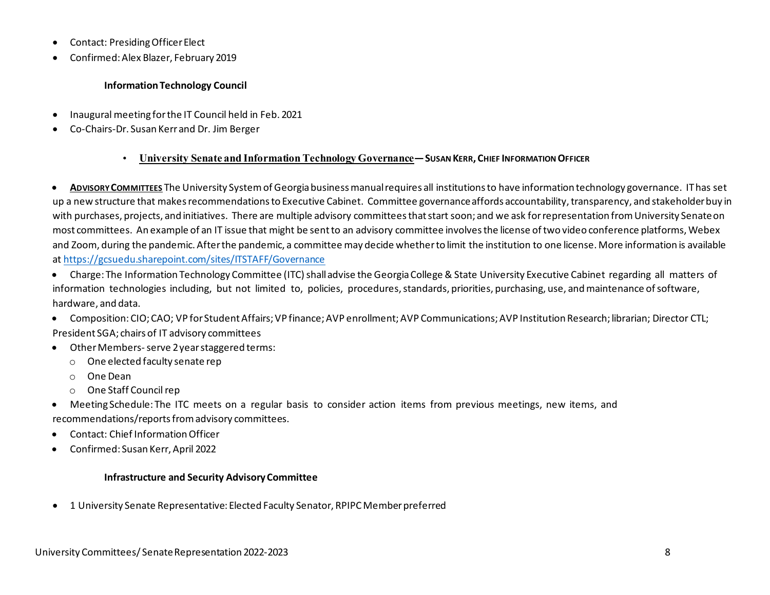- Contact: Presiding Officer Elect
- Confirmed: Alex Blazer, February 2019

### **Information Technology Council**

- Inaugural meeting for the IT Council held in Feb. 2021
- Co-Chairs-Dr. Susan Kerr and Dr. Jim Berger

# • **University Senate and Information Technology Governance—SUSAN KERR, CHIEF INFORMATION OFFICER**

• **ADVISORY COMMITTEES** The University System of Georgia business manual requires all institutions to have information technology governance. IT has set up a new structure that makes recommendations to Executive Cabinet. Committee governance affords accountability, transparency, and stakeholder buy in with purchases, projects, and initiatives. There are multiple advisory committees that start soon; and we ask for representation from University Senate on most committees. An example of an IT issue that might be sent to an advisory committee involves the license of two video conference platforms, Webex and Zoom, during the pandemic. After the pandemic, a committee may decide whether to limit the institution to one license. More information is available a[t https://gcsuedu.sharepoint.com/sites/ITSTAFF/Governance](https://gcsuedu.sharepoint.com/sites/ITSTAFF/Governance)

- Charge: The Information Technology Committee (ITC) shall advise the Georgia College & State University Executive Cabinet regarding all matters of information technologies including, but not limited to, policies, procedures, standards, priorities, purchasing, use, and maintenance of software, hardware, and data.
- Composition: CIO; CAO; VP for Student Affairs; VP finance; AVP enrollment; AVP Communications; AVP Institution Research; librarian; Director CTL; President SGA; chairs of IT advisory committees
- Other Members-serve 2 year staggered terms:
	- o One elected faculty senate rep
	- o One Dean
	- o One Staff Council rep
- Meeting Schedule: The ITC meets on a regular basis to consider action items from previous meetings, new items, and recommendations/reports from advisory committees.
- Contact: Chief Information Officer
- Confirmed: Susan Kerr, April 2022

# **Infrastructure and Security Advisory Committee**

• 1 University Senate Representative: Elected Faculty Senator, RPIPC Member preferred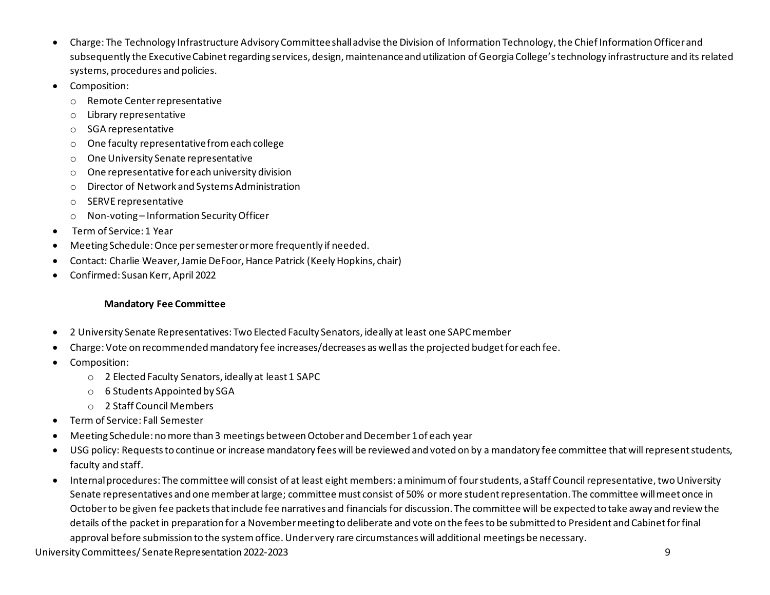- Charge: The Technology Infrastructure Advisory Committee shall advise the Division of Information Technology, the Chief Information Officer and subsequently the Executive Cabinet regarding services, design, maintenance and utilization of Georgia College's technology infrastructure and its related systems, procedures and policies.
- Composition:
	- o Remote Center representative
	- o Library representative
	- o SGA representative
	- o One faculty representative from each college
	- o One University Senate representative
	- o One representative for each university division
	- o Director of Network and Systems Administration
	- o SERVE representative
	- o Non-voting Information Security Officer
- Term of Service: 1 Year
- Meeting Schedule: Once per semester or more frequently if needed.
- Contact: Charlie Weaver, Jamie DeFoor, Hance Patrick (Keely Hopkins, chair)
- Confirmed: Susan Kerr, April 2022

# **Mandatory Fee Committee**

- 2 University Senate Representatives: Two Elected Faculty Senators, ideally at least one SAPC member
- Charge: Vote on recommended mandatory fee increases/decreases as well as the projected budget for each fee.
- Composition:
	- o 2 Elected Faculty Senators, ideally at least 1 SAPC
	- o 6 Students Appointed by SGA
	- o 2 Staff Council Members
- Term of Service: Fall Semester
- Meeting Schedule: no more than 3 meetings between October and December 1 of each year
- USG policy: Requests to continue or increase mandatory fees will be reviewed and voted on by a mandatory fee committee that will represent students, faculty and staff.
- Internal procedures: The committee will consist of at least eight members: a minimum of four students, a Staff Council representative, two University Senate representatives and one member at large; committee must consist of 50% or more student representation. The committee will meet once in October to be given fee packets that include fee narratives and financials for discussion. The committee will be expected to take away and review the details of the packet in preparation for a November meeting to deliberate and vote on the fees to be submitted to President and Cabinet for final approval before submission to the system office. Under very rare circumstances will additional meetings be necessary.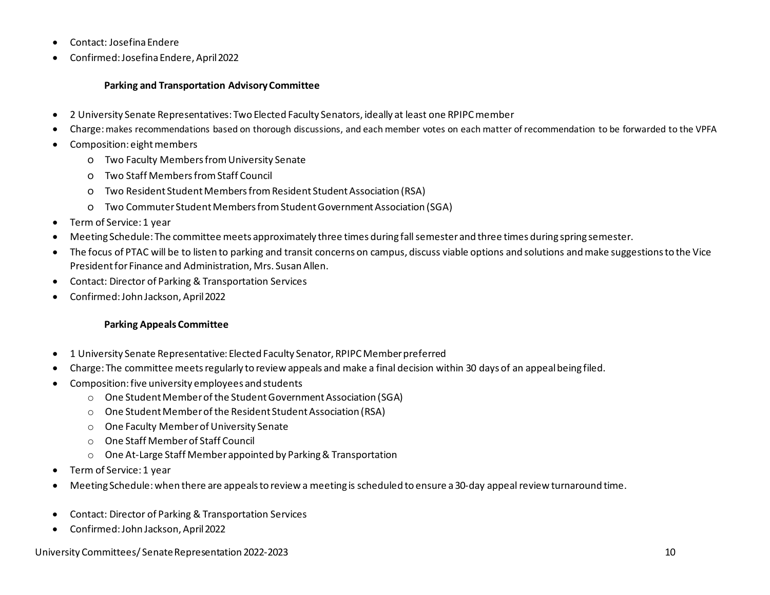- Contact: Josefina Endere
- Confirmed: Josefina Endere, April 2022

### **Parking and Transportation Advisory Committee**

- 2 University Senate Representatives: Two Elected Faculty Senators, ideally at least one RPIPC member
- Charge: makes recommendations based on thorough discussions, and each member votes on each matter of recommendation to be forwarded to the VPFA
- Composition: eight members
	- o Two Faculty Members from University Senate
	- o Two Staff Members from Staff Council
	- o Two Resident Student Members from Resident Student Association (RSA)
	- o Two Commuter Student Members from Student Government Association (SGA)
- Term of Service: 1 year
- Meeting Schedule: The committee meets approximately three times during fall semester and three times during spring semester.
- The focus of PTAC will be to listen to parking and transit concerns on campus, discuss viable options and solutions and make suggestions to the Vice President for Finance and Administration, Mrs. Susan Allen.
- Contact: Director of Parking & Transportation Services
- Confirmed: John Jackson, April 2022

# **Parking Appeals Committee**

- 1 University Senate Representative: Elected Faculty Senator, RPIPC Member preferred
- Charge: The committee meets regularly to review appeals and make a final decision within 30 days of an appeal being filed.
- Composition: five university employees and students
	- o One Student Member of the Student Government Association (SGA)
	- o One Student Member of the Resident Student Association (RSA)
	- o One Faculty Member of University Senate
	- o One Staff Member of Staff Council
	- o One At-Large Staff Member appointed by Parking & Transportation
- Term of Service: 1 year
- Meeting Schedule: when there are appeals to review a meeting is scheduled to ensure a 30-day appeal review turnaround time.
- Contact: Director of Parking & Transportation Services
- Confirmed: John Jackson, April 2022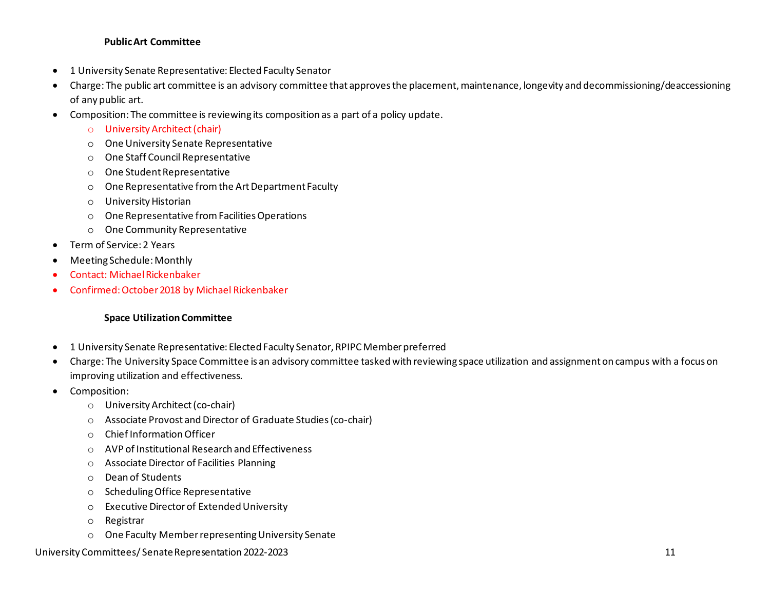#### **Public Art Committee**

- 1 University Senate Representative: Elected Faculty Senator
- Charge: The public art committee is an advisory committee that approves the placement, maintenance, longevity and decommissioning/deaccessioning of any public art.
- Composition: The committee is reviewing its composition as a part of a policy update.
	- o University Architect (chair)
	- o One University Senate Representative
	- o One Staff Council Representative
	- o One Student Representative
	- o One Representative from the Art Department Faculty
	- o University Historian
	- o One Representative from Facilities Operations
	- o One Community Representative
- Term of Service: 2 Years
- Meeting Schedule: Monthly
- Contact: Michael Rickenbaker
- Confirmed: October 2018 by Michael Rickenbaker

#### **Space Utilization Committee**

- 1 University Senate Representative: Elected Faculty Senator, RPIPC Member preferred
- Charge: The University Space Committee is an advisory committee tasked with reviewing space utilization and assignment on campus with a focus on improving utilization and effectiveness.
- Composition:
	- o University Architect (co-chair)
	- o Associate Provost and Director of Graduate Studies (co-chair)
	- o Chief Information Officer
	- o AVP of Institutional Research and Effectiveness
	- o Associate Director of Facilities Planning
	- o Dean of Students
	- o Scheduling Office Representative
	- o Executive Director of Extended University
	- o Registrar
	- o One Faculty Member representing University Senate

University Committees/ Senate Representation 2022-2023 11 and the state of the state of the state of the state of the state of the state of the state of the state of the state of the state of the state of the state of the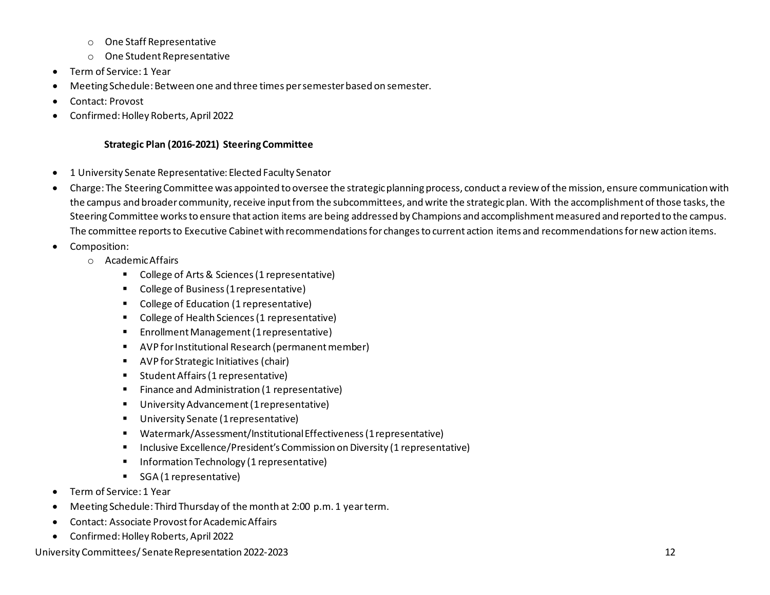- o One Staff Representative
- o One Student Representative
- Term of Service: 1 Year
- Meeting Schedule: Between one and three times per semester based on semester.
- Contact: Provost
- Confirmed: Holley Roberts, April 2022

# **Strategic Plan (2016-2021) Steering Committee**

- 1 University Senate Representative: Elected Faculty Senator
- Charge: The Steering Committee was appointed to oversee the strategic planning process, conduct a review of the mission, ensure communication with the campus and broader community, receive input from the subcommittees, and write the strategic plan. With the accomplishment of those tasks, the Steering Committee works to ensure that action items are being addressed by Champions and accomplishment measured and reported to the campus. The committee reports to Executive Cabinet with recommendations for changes to current action items and recommendations for new action items.
- Composition:
	- o Academic Affairs
		- College of Arts & Sciences (1 representative)
		- College of Business (1 representative)
		- College of Education (1 representative)
		- College of Health Sciences (1 representative)
		- **Enrollment Management (1 representative)**
		- AVP for Institutional Research (permanent member)
		- AVP for Strategic Initiatives (chair)
		- **Student Affairs (1 representative)**
		- **Finance and Administration (1 representative)**
		- University Advancement (1 representative)
		- **University Senate (1 representative)**
		- Watermark/Assessment/Institutional Effectiveness (1 representative)
		- Inclusive Excellence/President's Commission on Diversity (1 representative)
		- Information Technology (1 representative)
		- SGA (1 representative)
- Term of Service: 1 Year
- Meeting Schedule: Third Thursday of the month at 2:00 p.m. 1 year term.
- Contact: Associate Provost for Academic Affairs
- Confirmed: Holley Roberts, April 2022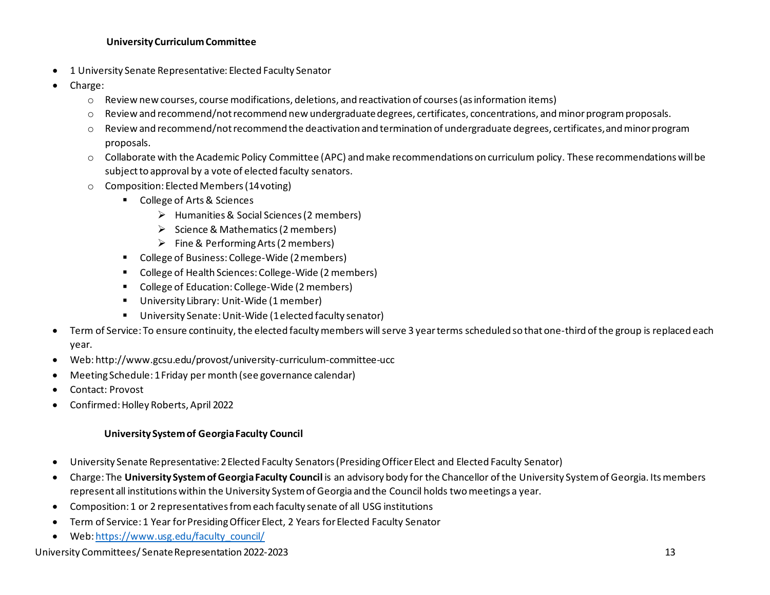#### **University Curriculum Committee**

- 1 University Senate Representative: Elected Faculty Senator
- Charge:
	- o Review new courses, course modifications, deletions, and reactivation of courses (as information items)
	- o Review and recommend/not recommend new undergraduate degrees, certificates, concentrations, and minor program proposals.
	- o Review and recommend/not recommend the deactivation and termination of undergraduate degrees, certificates, and minor program proposals.
	- o Collaborate with the Academic Policy Committee (APC) and make recommendations on curriculum policy. These recommendations will be subject to approval by a vote of elected faculty senators.
	- o Composition: Elected Members (14 voting)
		- **College of Arts & Sciences** 
			- Humanities & Social Sciences (2 members)
			- $\triangleright$  Science & Mathematics (2 members)
			- $\triangleright$  Fine & Performing Arts (2 members)
		- College of Business: College-Wide (2 members)
		- College of Health Sciences: College-Wide (2 members)
		- College of Education: College-Wide (2 members)
		- University Library: Unit-Wide (1 member)
		- University Senate: Unit-Wide (1 elected faculty senator)
- Term of Service: To ensure continuity, the elected faculty members will serve 3 year terms scheduled so that one-third of the group is replaced each year.
- Web: http://www.gcsu.edu/provost/university-curriculum-committee-ucc
- Meeting Schedule: 1 Friday per month (see governance calendar)
- Contact: Provost
- Confirmed: Holley Roberts, April 2022

### **University System of Georgia Faculty Council**

- University Senate Representative: 2 Elected Faculty Senators (Presiding Officer Elect and Elected Faculty Senator)
- Charge: The **University System of Georgia Faculty Council** is an advisory body for the Chancellor of the University System of Georgia. Its members represent all institutions within the University System of Georgia and the Council holds two meetings a year.
- Composition: 1 or 2 representatives from each faculty senate of all USG institutions
- Term of Service: 1 Year for Presiding Officer Elect, 2 Years for Elected Faculty Senator
- Web: https://www.usg.edu/faculty\_council/